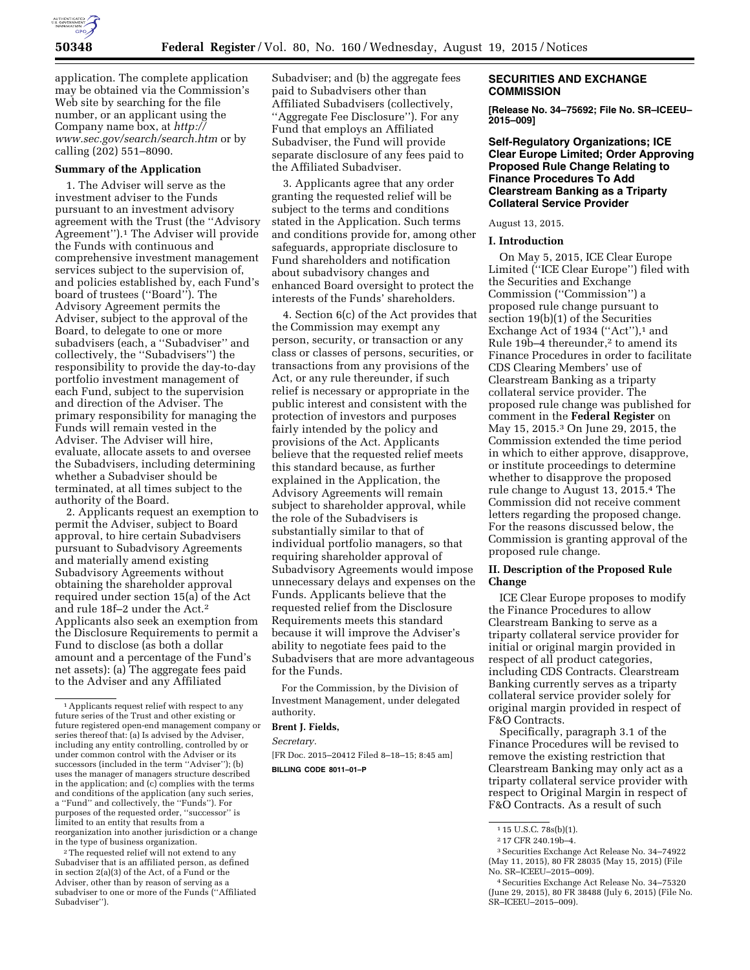

application. The complete application may be obtained via the Commission's Web site by searching for the file number, or an applicant using the Company name box, at *[http://](http://www.sec.gov/search/search.htm) [www.sec.gov/search/search.htm](http://www.sec.gov/search/search.htm)* or by calling (202) 551–8090.

## **Summary of the Application**

1. The Adviser will serve as the investment adviser to the Funds pursuant to an investment advisory agreement with the Trust (the ''Advisory Agreement'').1 The Adviser will provide the Funds with continuous and comprehensive investment management services subject to the supervision of, and policies established by, each Fund's board of trustees (''Board''). The Advisory Agreement permits the Adviser, subject to the approval of the Board, to delegate to one or more subadvisers (each, a ''Subadviser'' and collectively, the ''Subadvisers'') the responsibility to provide the day-to-day portfolio investment management of each Fund, subject to the supervision and direction of the Adviser. The primary responsibility for managing the Funds will remain vested in the Adviser. The Adviser will hire, evaluate, allocate assets to and oversee the Subadvisers, including determining whether a Subadviser should be terminated, at all times subject to the authority of the Board.

2. Applicants request an exemption to permit the Adviser, subject to Board approval, to hire certain Subadvisers pursuant to Subadvisory Agreements and materially amend existing Subadvisory Agreements without obtaining the shareholder approval required under section 15(a) of the Act and rule 18f–2 under the Act.2 Applicants also seek an exemption from the Disclosure Requirements to permit a Fund to disclose (as both a dollar amount and a percentage of the Fund's net assets): (a) The aggregate fees paid to the Adviser and any Affiliated

<sup>2</sup>The requested relief will not extend to any Subadviser that is an affiliated person, as defined in section 2(a)(3) of the Act, of a Fund or the Adviser, other than by reason of serving as a subadviser to one or more of the Funds (''Affiliated Subadviser'').

Subadviser; and (b) the aggregate fees paid to Subadvisers other than Affiliated Subadvisers (collectively, ''Aggregate Fee Disclosure''). For any Fund that employs an Affiliated Subadviser, the Fund will provide separate disclosure of any fees paid to the Affiliated Subadviser.

3. Applicants agree that any order granting the requested relief will be subject to the terms and conditions stated in the Application. Such terms and conditions provide for, among other safeguards, appropriate disclosure to Fund shareholders and notification about subadvisory changes and enhanced Board oversight to protect the interests of the Funds' shareholders.

4. Section 6(c) of the Act provides that the Commission may exempt any person, security, or transaction or any class or classes of persons, securities, or transactions from any provisions of the Act, or any rule thereunder, if such relief is necessary or appropriate in the public interest and consistent with the protection of investors and purposes fairly intended by the policy and provisions of the Act. Applicants believe that the requested relief meets this standard because, as further explained in the Application, the Advisory Agreements will remain subject to shareholder approval, while the role of the Subadvisers is substantially similar to that of individual portfolio managers, so that requiring shareholder approval of Subadvisory Agreements would impose unnecessary delays and expenses on the Funds. Applicants believe that the requested relief from the Disclosure Requirements meets this standard because it will improve the Adviser's ability to negotiate fees paid to the Subadvisers that are more advantageous for the Funds.

For the Commission, by the Division of Investment Management, under delegated authority.

# **Brent J. Fields,**

*Secretary.* 

[FR Doc. 2015–20412 Filed 8–18–15; 8:45 am] **BILLING CODE 8011–01–P** 

### **SECURITIES AND EXCHANGE COMMISSION**

**[Release No. 34–75692; File No. SR–ICEEU– 2015–009]** 

### **Self-Regulatory Organizations; ICE Clear Europe Limited; Order Approving Proposed Rule Change Relating to Finance Procedures To Add Clearstream Banking as a Triparty Collateral Service Provider**

#### August 13, 2015.

#### **I. Introduction**

On May 5, 2015, ICE Clear Europe Limited (''ICE Clear Europe'') filed with the Securities and Exchange Commission (''Commission'') a proposed rule change pursuant to section 19(b)(1) of the Securities Exchange Act of 1934 ("Act"), $1$  and Rule  $19\bar{b}$ –4 thereunder,<sup>2</sup> to amend its Finance Procedures in order to facilitate CDS Clearing Members' use of Clearstream Banking as a triparty collateral service provider. The proposed rule change was published for comment in the **Federal Register** on May 15, 2015.3 On June 29, 2015, the Commission extended the time period in which to either approve, disapprove, or institute proceedings to determine whether to disapprove the proposed rule change to August 13, 2015.4 The Commission did not receive comment letters regarding the proposed change. For the reasons discussed below, the Commission is granting approval of the proposed rule change.

### **II. Description of the Proposed Rule Change**

ICE Clear Europe proposes to modify the Finance Procedures to allow Clearstream Banking to serve as a triparty collateral service provider for initial or original margin provided in respect of all product categories, including CDS Contracts. Clearstream Banking currently serves as a triparty collateral service provider solely for original margin provided in respect of F&O Contracts.

Specifically, paragraph 3.1 of the Finance Procedures will be revised to remove the existing restriction that Clearstream Banking may only act as a triparty collateral service provider with respect to Original Margin in respect of F&O Contracts. As a result of such

<sup>1</sup>Applicants request relief with respect to any future series of the Trust and other existing or future registered open-end management company or series thereof that: (a) Is advised by the Adviser, including any entity controlling, controlled by or under common control with the Adviser or its successors (included in the term ''Adviser''); (b) uses the manager of managers structure described in the application; and (c) complies with the terms and conditions of the application (any such series, a ''Fund'' and collectively, the ''Funds''). For purposes of the requested order, ''successor'' is limited to an entity that results from a reorganization into another jurisdiction or a change in the type of business organization.

<sup>1</sup> 15 U.S.C. 78s(b)(1).

<sup>2</sup> 17 CFR 240.19b–4.

<sup>3</sup>Securities Exchange Act Release No. 34–74922 (May 11, 2015), 80 FR 28035 (May 15, 2015) (File No. SR–ICEEU–2015–009).

<sup>4</sup>Securities Exchange Act Release No. 34–75320 (June 29, 2015), 80 FR 38488 (July 6, 2015) (File No. SR–ICEEU–2015–009).